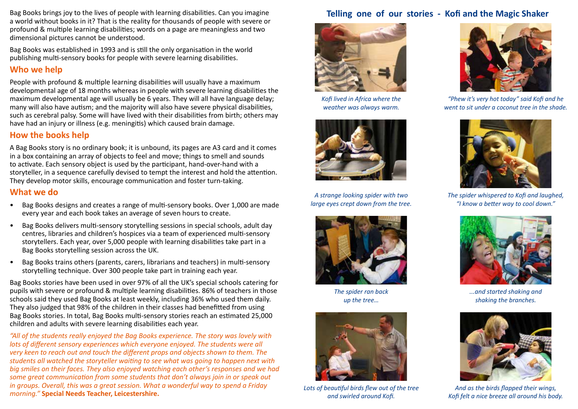Bag Books brings joy to the lives of people with learning disabilities. Can you imagine<br>a world without books in it? That is the reality for thousands of people with severe or<br>example of the section of the seven of the sev profound & multiple learning disabilities; words on a page are meaningless and two dimensional pictures cannot be understood.

Bag Books was established in 1993 and is still the only organisation in the world publishing multi-sensory books for people with severe learning disabilities.

## **Who we help**

People with profound & multiple learning disabilities will usually have a maximum developmental age of 18 months whereas in people with severe learning disabilities the maximum developmental age will usually be 6 years. They will all have language delay; many will also have autism; and the majority will also have severe physical disabilities, such as cerebral palsy. Some will have lived with their disabilities from birth; others may have had an injury or illness (e.g. meningitis) which caused brain damage.

## **How the books help**

A Bag Books story is no ordinary book; it is unbound, its pages are A3 card and it comes in a box containing an array of objects to feel and move; things to smell and sounds to activate. Each sensory object is used by the participant, hand-over-hand with a storyteller, in a sequence carefully devised to tempt the interest and hold the attention. They develop motor skills, encourage communication and foster turn-taking.

## **What we do**

- Bag Books designs and creates a range of multi-sensory books. Over 1,000 are made every year and each book takes an average of seven hours to create.
- Bag Books delivers multi-sensory storytelling sessions in special schools, adult day centres, libraries and children's hospices via a team of experienced multi-sensory storytellers. Each year, over 5,000 people with learning disabilities take part in a Bag Books storytelling session across the UK.
- Bag Books trains others (parents, carers, librarians and teachers) in multi-sensory storytelling technique. Over 300 people take part in training each year.

Bag Books stories have been used in over 97% of all the UK's special schools catering for pupils with severe or profound & multiple learning disabilities. 86% of teachers in those schools said they used Bag Books at least weekly, including 36% who used them daily. They also judged that 98% of the children in their classes had benefitted from using Bag Books stories. In total, Bag Books multi-sensory stories reach an estimated 25,000 children and adults with severe learning disabilities each year.

*"All of the students really enjoyed the Bag Books experience. The story was lovely with lots of different sensory experiences which everyone enjoyed. The students were all very keen to reach out and touch the different props and objects shown to them. The students all watched the storyteller waiting to see what was going to happen next with big smiles on their faces. They also enjoyed watching each other's responses and we had some great communication from some students that don't always join in or speak out in groups. Overall, this was a great session. What a wonderful way to spend a Friday morning."* **Special Needs Teacher, Leicestershire.**



*Kofi lived in Africa where the weather was always warm.*



*A strange looking spider with two large eyes crept down from the tree.*



*The spider ran back up the tree…*



*Lots of beautiful birds flew out of the tree and swirled around Kofi.*



*"Phew it's very hot today" said Kofi and he went to sit under a coconut tree in the shade.*



*The spider whispered to Kofi and laughed, "I know a better way to cool down."*



*...and started shaking and shaking the branches.*



*And as the birds flapped their wings, Kofi felt a nice breeze all around his body.*